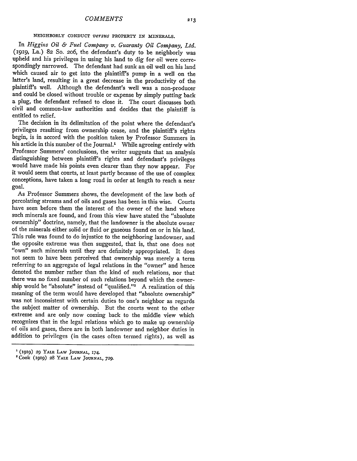## **NEIGHBORLY CONDUCT** *versus* **PROPERTY IN MINERALS.**

In *Higgins Oil & Fuel Company v. Guaranty Oil Company, Ltd.* **(1919,** La.) 82 So. 206, the defendant's duty to be neighborly was upheld and his privileges in using his land to dig for oil were correspondingly narrowed. The defendant had sunk an oil well on his land which caused air to get into the plaintiff's pump in a well on the latter's land, resulting in a great decrease in the productivity of the plaintiff's well. Although the defendant's well was a non-producer and could be closed without trouble or expense by simply putting back a plug, the defendant refused to close it. The court discusses both civil and common-law authorities and decides that the plaintiff is entitled to relief.

The decision in its delimitation of the point where the defendant's privileges resulting from ownership cease, and the plaintiff's rights begin, is in accord with the position taken by Professor Summers in his article in this number of the Journal.' While agreeing entirely with Professor Summers' conclusions, the writer suggests that an analysis distinguishing between plaintiff's rights and defendant's privileges would have made his points even clearer than they now appear. For it would seem that courts, at least partly because of the use of complex conceptions, have taken a long road in order at length to reach a near goal.

As Professor Summers shows, the development of the law both of percolating streams and of oils and gases has been in this wise. Courts have seen before them the interest of the owner of the land where such minerals are found, and from this view have stated the "absolute ownership" doctrine, namely, that the landowner is the absolute owner of the minerals either solid or fluid or gaseous found on or in his land. This rule was found to do injustice to the neighboring landowner, and the opposite extreme was then suggested, that is, that one does not "own" such minerals until they are definitely appropriated. It does not seem to have been perceived that ownership was merely a term referring to an aggregate of legal relations in the "owner" and hence denoted the number rather than the kind of such relations, nor that there was no fixed number of such relations beyond which the ownership would be "absolute" instead of "qualified."<sup>2</sup> A realization of this meaning of the term would have developed that "absolute ownership" was not inconsistent with certain duties to one's neighbor as regards the subject matter of ownership. But the courts went to the other extreme and are only now coming back to the middle view which recognizes that in the legal relations which go to make up ownership of oils and gases, there are in both landowner and neighbor duties in addition to privileges (in the cases often termed rights), as well as

213

**<sup>1</sup>**(1gIg) *29* YALE **LAW JOURNAL,** 174.

<sup>2</sup> Cook (igig) **28** YALE LAW **JOURNAL, 729.**